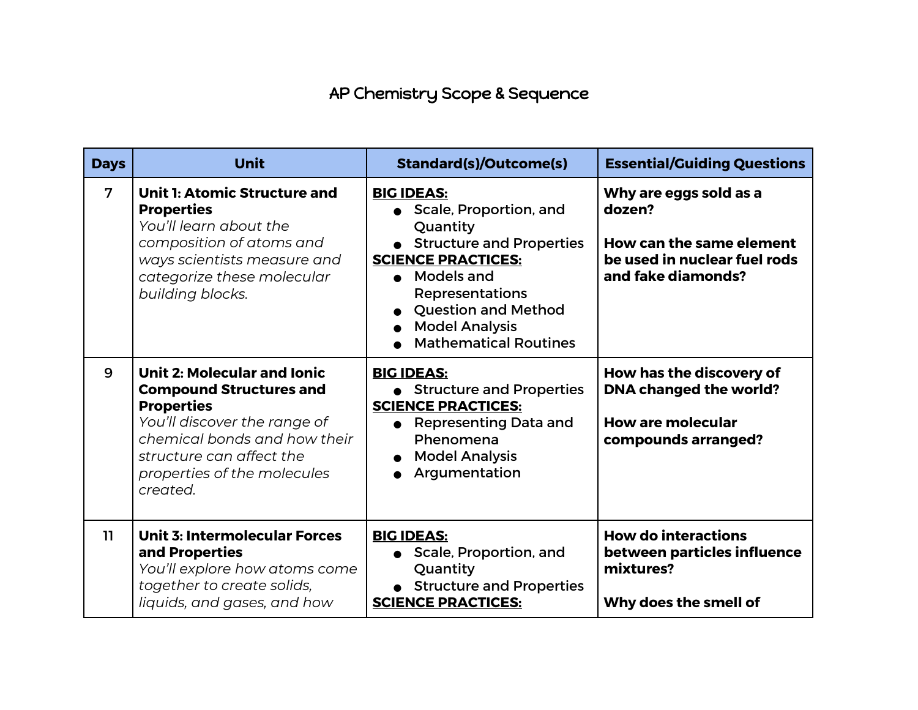## AP Chemistry Scope & Sequence

| <b>Days</b>    | <b>Unit</b>                                                                                                                                                                                                                      | <b>Standard(s)/Outcome(s)</b>                                                                                                                                                                                                                              | <b>Essential/Guiding Questions</b>                                                                                 |
|----------------|----------------------------------------------------------------------------------------------------------------------------------------------------------------------------------------------------------------------------------|------------------------------------------------------------------------------------------------------------------------------------------------------------------------------------------------------------------------------------------------------------|--------------------------------------------------------------------------------------------------------------------|
| $\overline{7}$ | <b>Unit 1: Atomic Structure and</b><br><b>Properties</b><br>You'll learn about the<br>composition of atoms and<br>ways scientists measure and<br>categorize these molecular<br>building blocks.                                  | <b>BIG IDEAS:</b><br>• Scale, Proportion, and<br>Quantity<br>• Structure and Properties<br><b>SCIENCE PRACTICES:</b><br><b>Models and</b><br><b>Representations</b><br><b>Question and Method</b><br><b>Model Analysis</b><br><b>Mathematical Routines</b> | Why are eggs sold as a<br>dozen?<br>How can the same element<br>be used in nuclear fuel rods<br>and fake diamonds? |
| 9              | <b>Unit 2: Molecular and Ionic</b><br><b>Compound Structures and</b><br><b>Properties</b><br>You'll discover the range of<br>chemical bonds and how their<br>structure can affect the<br>properties of the molecules<br>created. | <b>BIG IDEAS:</b><br>• Structure and Properties<br><b>SCIENCE PRACTICES:</b><br><b>Representing Data and</b><br>Phenomena<br><b>Model Analysis</b><br>Argumentation                                                                                        | How has the discovery of<br><b>DNA changed the world?</b><br><b>How are molecular</b><br>compounds arranged?       |
| 11             | <b>Unit 3: Intermolecular Forces</b><br>and Properties<br>You'll explore how atoms come<br>together to create solids,<br>liquids, and gases, and how                                                                             | <b>BIG IDEAS:</b><br>• Scale, Proportion, and<br>Quantity<br>• Structure and Properties<br><b>SCIENCE PRACTICES:</b>                                                                                                                                       | <b>How do interactions</b><br>between particles influence<br>mixtures?<br>Why does the smell of                    |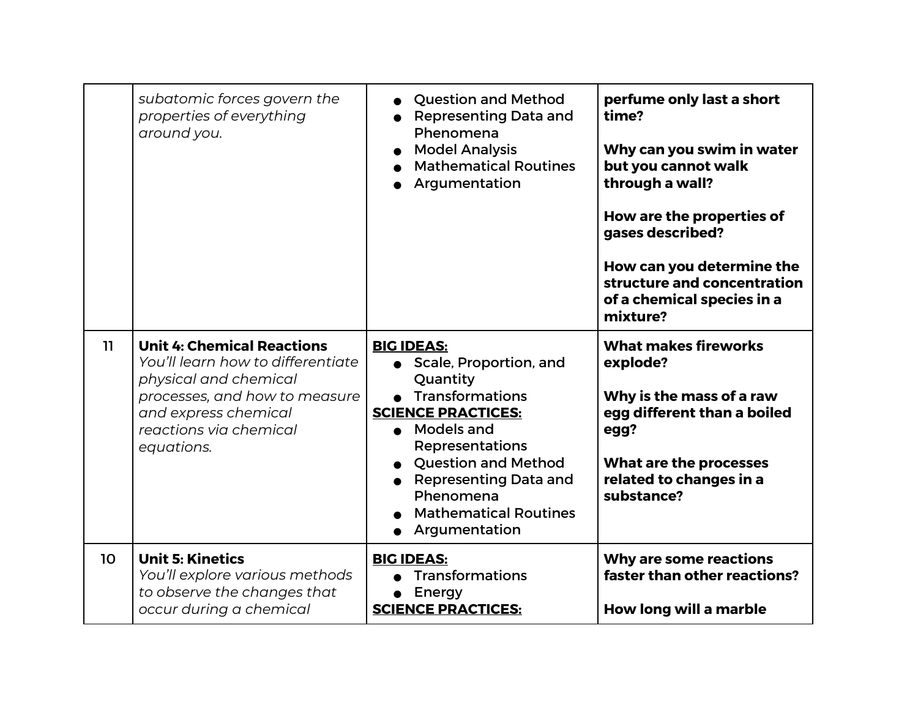|    | subatomic forces govern the<br>properties of everything<br>around you.                                                                                                                           | <b>Question and Method</b><br><b>Representing Data and</b><br>Phenomena<br><b>Model Analysis</b><br><b>Mathematical Routines</b><br>Argumentation                                                                                                                                    | perfume only last a short<br>time?<br>Why can you swim in water<br>but you cannot walk<br>through a wall?<br>How are the properties of<br>gases described?<br>How can you determine the<br>structure and concentration<br>of a chemical species in a<br>mixture? |
|----|--------------------------------------------------------------------------------------------------------------------------------------------------------------------------------------------------|--------------------------------------------------------------------------------------------------------------------------------------------------------------------------------------------------------------------------------------------------------------------------------------|------------------------------------------------------------------------------------------------------------------------------------------------------------------------------------------------------------------------------------------------------------------|
| 11 | <b>Unit 4: Chemical Reactions</b><br>You'll learn how to differentiate<br>physical and chemical<br>processes, and how to measure<br>and express chemical<br>reactions via chemical<br>equations. | <b>BIG IDEAS:</b><br>• Scale, Proportion, and<br>Quantity<br>Transformations<br><b>SCIENCE PRACTICES:</b><br><b>Models and</b><br><b>Representations</b><br><b>Question and Method</b><br><b>Representing Data and</b><br>Phenomena<br><b>Mathematical Routines</b><br>Argumentation | <b>What makes fireworks</b><br>explode?<br>Why is the mass of a raw<br>egg different than a boiled<br>egg?<br>What are the processes<br>related to changes in a<br>substance?                                                                                    |
| 10 | <b>Unit 5: Kinetics</b><br>You'll explore various methods<br>to observe the changes that<br>occur during a chemical                                                                              | <b>BIG IDEAS:</b><br><b>Transformations</b><br>Energy<br><b>SCIENCE PRACTICES:</b>                                                                                                                                                                                                   | Why are some reactions<br>faster than other reactions?<br>How long will a marble                                                                                                                                                                                 |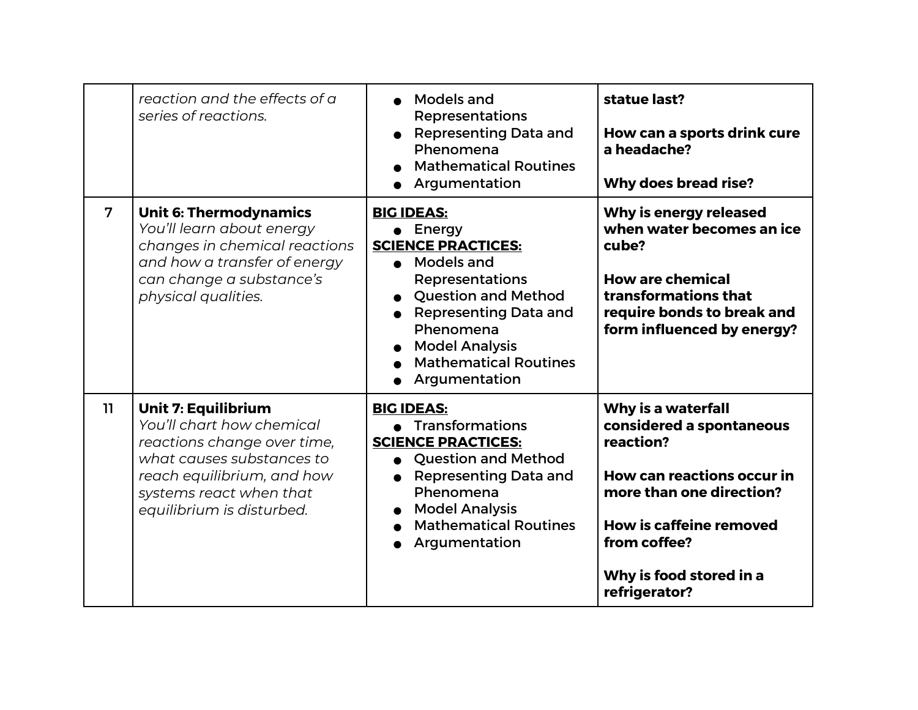|                | reaction and the effects of a<br>series of reactions.                                                                                                                                                     | Models and<br><b>Representations</b><br><b>Representing Data and</b><br>Phenomena<br><b>Mathematical Routines</b><br>Argumentation                                                                                                                                | statue last?<br>How can a sports drink cure<br>a headache?<br><b>Why does bread rise?</b>                                                                                                                                  |
|----------------|-----------------------------------------------------------------------------------------------------------------------------------------------------------------------------------------------------------|-------------------------------------------------------------------------------------------------------------------------------------------------------------------------------------------------------------------------------------------------------------------|----------------------------------------------------------------------------------------------------------------------------------------------------------------------------------------------------------------------------|
| $\overline{7}$ | <b>Unit 6: Thermodynamics</b><br>You'll learn about energy<br>changes in chemical reactions<br>and how a transfer of energy<br>can change a substance's<br>physical qualities.                            | <b>BIG IDEAS:</b><br>$\bullet$ Energy<br><b>SCIENCE PRACTICES:</b><br>• Models and<br><b>Representations</b><br><b>Question and Method</b><br><b>Representing Data and</b><br>Phenomena<br><b>Model Analysis</b><br><b>Mathematical Routines</b><br>Argumentation | Why is energy released<br>when water becomes an ice<br>cube?<br><b>How are chemical</b><br>transformations that<br>require bonds to break and<br>form influenced by energy?                                                |
| 11             | <b>Unit 7: Equilibrium</b><br>You'll chart how chemical<br>reactions change over time,<br>what causes substances to<br>reach equilibrium, and how<br>systems react when that<br>equilibrium is disturbed. | <b>BIG IDEAS:</b><br>• Transformations<br><b>SCIENCE PRACTICES:</b><br>• Question and Method<br><b>Representing Data and</b><br>Phenomena<br><b>Model Analysis</b><br><b>Mathematical Routines</b><br>Argumentation                                               | Why is a waterfall<br>considered a spontaneous<br>reaction?<br><b>How can reactions occur in</b><br>more than one direction?<br><b>How is caffeine removed</b><br>from coffee?<br>Why is food stored in a<br>refrigerator? |